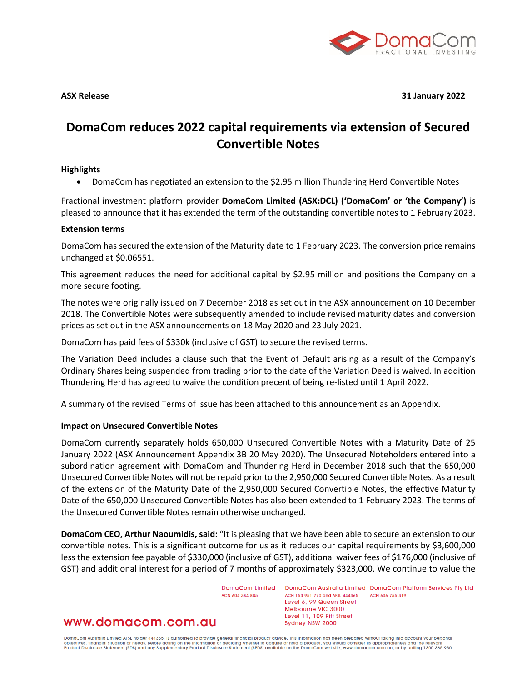

**ASX Release 31 January 2022**

# **DomaCom reduces 2022 capital requirements via extension of Secured Convertible Notes**

#### **Highlights**

• DomaCom has negotiated an extension to the \$2.95 million Thundering Herd Convertible Notes

Fractional investment platform provider **DomaCom Limited (ASX:DCL) ('DomaCom' or 'the Company')** is pleased to announce that it has extended the term of the outstanding convertible notes to 1 February 2023.

#### **Extension terms**

DomaCom has secured the extension of the Maturity date to 1 February 2023. The conversion price remains unchanged at \$0.06551.

This agreement reduces the need for additional capital by \$2.95 million and positions the Company on a more secure footing.

The notes were originally issued on 7 December 2018 as set out in the ASX announcement on 10 December 2018. The Convertible Notes were subsequently amended to include revised maturity dates and conversion prices as set out in the ASX announcements on 18 May 2020 and 23 July 2021.

DomaCom has paid fees of \$330k (inclusive of GST) to secure the revised terms.

The Variation Deed includes a clause such that the Event of Default arising as a result of the Company's Ordinary Shares being suspended from trading prior to the date of the Variation Deed is waived. In addition Thundering Herd has agreed to waive the condition precent of being re-listed until 1 April 2022.

A summary of the revised Terms of Issue has been attached to this announcement as an Appendix.

### **Impact on Unsecured Convertible Notes**

DomaCom currently separately holds 650,000 Unsecured Convertible Notes with a Maturity Date of 25 January 2022 (ASX Announcement Appendix 3B 20 May 2020). The Unsecured Noteholders entered into a subordination agreement with DomaCom and Thundering Herd in December 2018 such that the 650,000 Unsecured Convertible Notes will not be repaid prior to the 2,950,000 Secured Convertible Notes. As a result of the extension of the Maturity Date of the 2,950,000 Secured Convertible Notes, the effective Maturity Date of the 650,000 Unsecured Convertible Notes has also been extended to 1 February 2023. The terms of the Unsecured Convertible Notes remain otherwise unchanged.

**DomaCom CEO, Arthur Naoumidis, said:** "It is pleasing that we have been able to secure an extension to our convertible notes. This is a significant outcome for us as it reduces our capital requirements by \$3,600,000 less the extension fee payable of \$330,000 (inclusive of GST), additional waiver fees of \$176,000 (inclusive of GST) and additional interest for a period of 7 months of approximately \$323,000. We continue to value the

> DomaCom Limited ACN ANA 384 885

DomaCom Australia Limited DomaCom Platform Services Pty Ltd ACN 153 951 770 and AFSL 444365 ACN 606 755 319 Level 6, 99 Queen Street Melbourne VIC 3000 Level 11, 109 Pitt Street Sydney NSW 2000

www.domacom.com.au

DomaCom Australia Limited AFSL holder 444365, is authorised to provide general financial product advice. This information has been prepared without taking into account your personal<br>objectives, financial situation or needs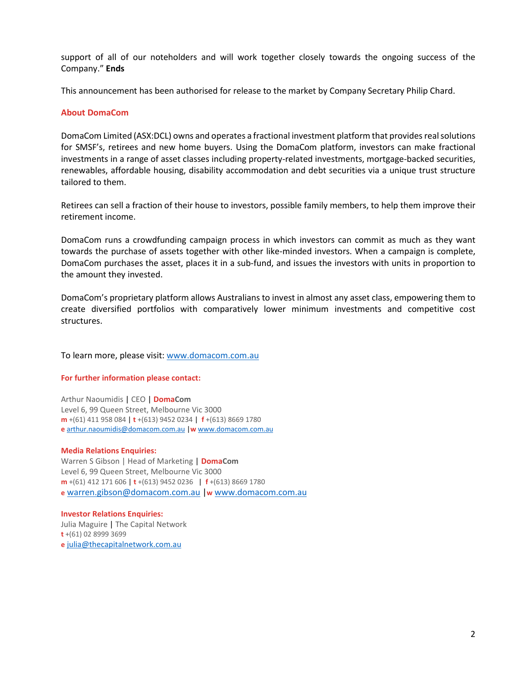support of all of our noteholders and will work together closely towards the ongoing success of the Company." **Ends**

This announcement has been authorised for release to the market by Company Secretary Philip Chard.

#### **About DomaCom**

DomaCom Limited (ASX:DCL) owns and operates a fractional investment platform that provides real solutions for SMSF's, retirees and new home buyers. Using the DomaCom platform, investors can make fractional investments in a range of asset classes including property-related investments, mortgage-backed securities, renewables, affordable housing, disability accommodation and debt securities via a unique trust structure tailored to them.

Retirees can sell a fraction of their house to investors, possible family members, to help them improve their retirement income.

DomaCom runs a crowdfunding campaign process in which investors can commit as much as they want towards the purchase of assets together with other like-minded investors. When a campaign is complete, DomaCom purchases the asset, places it in a sub-fund, and issues the investors with units in proportion to the amount they invested.

DomaCom's proprietary platform allows Australians to invest in almost any asset class, empowering them to create diversified portfolios with comparatively lower minimum investments and competitive cost structures.

To learn more, please visit: [www.domacom.com.au](http://www.domacom.com.au/)

#### **For further information please contact:**

Arthur Naoumidis | CEO | **DomaCom** Level 6, 99 Queen Street, Melbourne Vic 3000 **m** +(61) 411 958 084 | **t** +(613) 9452 0234 | **f** +(613) 8669 1780 **e** [arthur.naoumidis@domacom.com.au](mailto:arthur.naoumidis@domacom.com.au) |**w** [www.domacom.com.au](http://www.domacom.com.au/)

#### **Media Relations Enquiries:**

Warren S Gibson | Head of Marketing **| DomaCom** Level 6, 99 Queen Street, Melbourne Vic 3000 **m** +(61) 412 171 606 | **t** +(613) 9452 0236 | **f** +(613) 8669 1780 **e** [warren.gibson@domacom.com.au](mailto:warren.gibson@domacom.com.au) |**w** [www.domacom.com.au](http://www.domacom.com.au/)

**Investor Relations Enquiries:** Julia Maguire | The Capital Network **t** +(61) 02 8999 3699 **e** [julia@thecapitalnetwork.com.au](mailto:julia@thecapitalnetwork.com.au)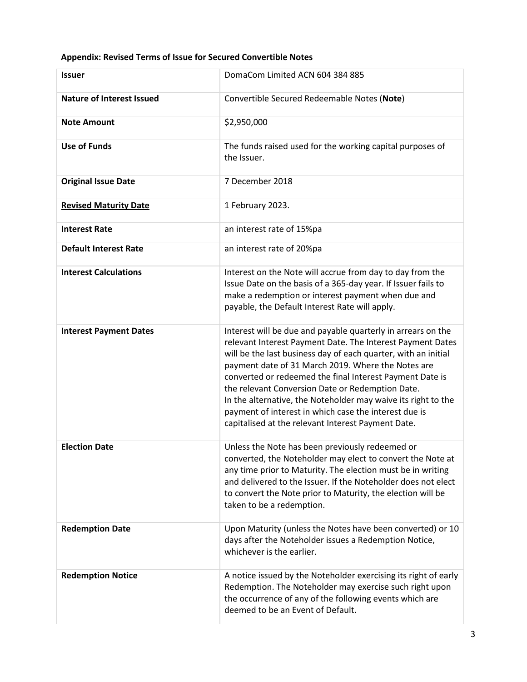## **Appendix: Revised Terms of Issue for Secured Convertible Notes**

| <b>Issuer</b>                    | DomaCom Limited ACN 604 384 885                                                                                                                                                                                                                                                                                                                                                                                                                                                                                                                    |
|----------------------------------|----------------------------------------------------------------------------------------------------------------------------------------------------------------------------------------------------------------------------------------------------------------------------------------------------------------------------------------------------------------------------------------------------------------------------------------------------------------------------------------------------------------------------------------------------|
| <b>Nature of Interest Issued</b> | Convertible Secured Redeemable Notes (Note)                                                                                                                                                                                                                                                                                                                                                                                                                                                                                                        |
| <b>Note Amount</b>               | \$2,950,000                                                                                                                                                                                                                                                                                                                                                                                                                                                                                                                                        |
| <b>Use of Funds</b>              | The funds raised used for the working capital purposes of<br>the Issuer.                                                                                                                                                                                                                                                                                                                                                                                                                                                                           |
| <b>Original Issue Date</b>       | 7 December 2018                                                                                                                                                                                                                                                                                                                                                                                                                                                                                                                                    |
| <b>Revised Maturity Date</b>     | 1 February 2023.                                                                                                                                                                                                                                                                                                                                                                                                                                                                                                                                   |
| <b>Interest Rate</b>             | an interest rate of 15%pa                                                                                                                                                                                                                                                                                                                                                                                                                                                                                                                          |
| <b>Default Interest Rate</b>     | an interest rate of 20%pa                                                                                                                                                                                                                                                                                                                                                                                                                                                                                                                          |
| <b>Interest Calculations</b>     | Interest on the Note will accrue from day to day from the<br>Issue Date on the basis of a 365-day year. If Issuer fails to<br>make a redemption or interest payment when due and<br>payable, the Default Interest Rate will apply.                                                                                                                                                                                                                                                                                                                 |
| <b>Interest Payment Dates</b>    | Interest will be due and payable quarterly in arrears on the<br>relevant Interest Payment Date. The Interest Payment Dates<br>will be the last business day of each quarter, with an initial<br>payment date of 31 March 2019. Where the Notes are<br>converted or redeemed the final Interest Payment Date is<br>the relevant Conversion Date or Redemption Date.<br>In the alternative, the Noteholder may waive its right to the<br>payment of interest in which case the interest due is<br>capitalised at the relevant Interest Payment Date. |
| <b>Election Date</b>             | Unless the Note has been previously redeemed or<br>converted, the Noteholder may elect to convert the Note at<br>any time prior to Maturity. The election must be in writing<br>and delivered to the Issuer. If the Noteholder does not elect<br>to convert the Note prior to Maturity, the election will be<br>taken to be a redemption.                                                                                                                                                                                                          |
| <b>Redemption Date</b>           | Upon Maturity (unless the Notes have been converted) or 10<br>days after the Noteholder issues a Redemption Notice,<br>whichever is the earlier.                                                                                                                                                                                                                                                                                                                                                                                                   |
| <b>Redemption Notice</b>         | A notice issued by the Noteholder exercising its right of early<br>Redemption. The Noteholder may exercise such right upon<br>the occurrence of any of the following events which are<br>deemed to be an Event of Default.                                                                                                                                                                                                                                                                                                                         |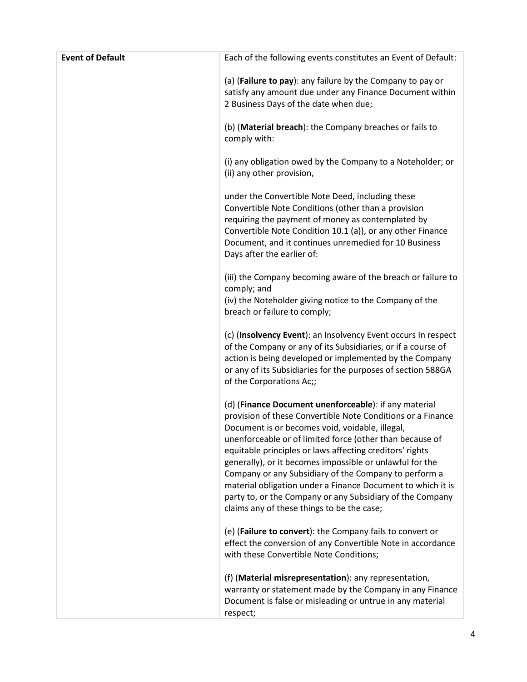| <b>Event of Default</b> | Each of the following events constitutes an Event of Default:                                                                                                                                                                                                                                                                                                                                                                                                                                                                                                                                  |
|-------------------------|------------------------------------------------------------------------------------------------------------------------------------------------------------------------------------------------------------------------------------------------------------------------------------------------------------------------------------------------------------------------------------------------------------------------------------------------------------------------------------------------------------------------------------------------------------------------------------------------|
|                         | (a) (Failure to pay): any failure by the Company to pay or<br>satisfy any amount due under any Finance Document within<br>2 Business Days of the date when due;                                                                                                                                                                                                                                                                                                                                                                                                                                |
|                         | (b) (Material breach): the Company breaches or fails to<br>comply with:                                                                                                                                                                                                                                                                                                                                                                                                                                                                                                                        |
|                         | (i) any obligation owed by the Company to a Noteholder; or<br>(ii) any other provision,                                                                                                                                                                                                                                                                                                                                                                                                                                                                                                        |
|                         | under the Convertible Note Deed, including these<br>Convertible Note Conditions (other than a provision<br>requiring the payment of money as contemplated by<br>Convertible Note Condition 10.1 (a)), or any other Finance<br>Document, and it continues unremedied for 10 Business<br>Days after the earlier of:                                                                                                                                                                                                                                                                              |
|                         | (iii) the Company becoming aware of the breach or failure to<br>comply; and<br>(iv) the Noteholder giving notice to the Company of the<br>breach or failure to comply;                                                                                                                                                                                                                                                                                                                                                                                                                         |
|                         | (c) (Insolvency Event): an Insolvency Event occurs In respect<br>of the Company or any of its Subsidiaries, or if a course of<br>action is being developed or implemented by the Company<br>or any of its Subsidiaries for the purposes of section 588GA<br>of the Corporations Ac;;                                                                                                                                                                                                                                                                                                           |
|                         | (d) (Finance Document unenforceable): if any material<br>provision of these Convertible Note Conditions or a Finance<br>Document is or becomes void, voidable, illegal,<br>unenforceable or of limited force (other than because of<br>equitable principles or laws affecting creditors' rights<br>generally), or it becomes impossible or unlawful for the<br>Company or any Subsidiary of the Company to perform a<br>material obligation under a Finance Document to which it is<br>party to, or the Company or any Subsidiary of the Company<br>claims any of these things to be the case; |
|                         | (e) (Failure to convert): the Company fails to convert or<br>effect the conversion of any Convertible Note in accordance<br>with these Convertible Note Conditions;                                                                                                                                                                                                                                                                                                                                                                                                                            |
|                         | (f) (Material misrepresentation): any representation,<br>warranty or statement made by the Company in any Finance<br>Document is false or misleading or untrue in any material<br>respect;                                                                                                                                                                                                                                                                                                                                                                                                     |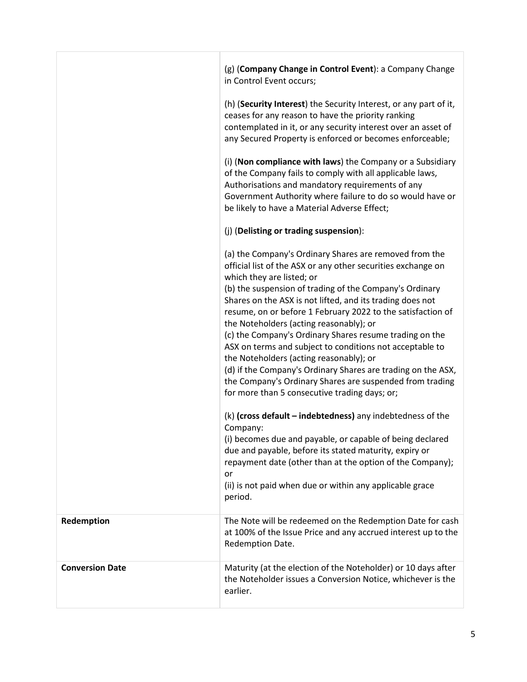|                        | (g) (Company Change in Control Event): a Company Change<br>in Control Event occurs;<br>(h) (Security Interest) the Security Interest, or any part of it,<br>ceases for any reason to have the priority ranking<br>contemplated in it, or any security interest over an asset of                                                                                                                                                                                                                                                                                                                                                                                                                                                                                                                                                                                                                                                                                                                                                                                                 |
|------------------------|---------------------------------------------------------------------------------------------------------------------------------------------------------------------------------------------------------------------------------------------------------------------------------------------------------------------------------------------------------------------------------------------------------------------------------------------------------------------------------------------------------------------------------------------------------------------------------------------------------------------------------------------------------------------------------------------------------------------------------------------------------------------------------------------------------------------------------------------------------------------------------------------------------------------------------------------------------------------------------------------------------------------------------------------------------------------------------|
|                        | any Secured Property is enforced or becomes enforceable;<br>(i) (Non compliance with laws) the Company or a Subsidiary<br>of the Company fails to comply with all applicable laws,<br>Authorisations and mandatory requirements of any<br>Government Authority where failure to do so would have or<br>be likely to have a Material Adverse Effect;                                                                                                                                                                                                                                                                                                                                                                                                                                                                                                                                                                                                                                                                                                                             |
|                        | (j) (Delisting or trading suspension):                                                                                                                                                                                                                                                                                                                                                                                                                                                                                                                                                                                                                                                                                                                                                                                                                                                                                                                                                                                                                                          |
|                        | (a) the Company's Ordinary Shares are removed from the<br>official list of the ASX or any other securities exchange on<br>which they are listed; or<br>(b) the suspension of trading of the Company's Ordinary<br>Shares on the ASX is not lifted, and its trading does not<br>resume, on or before 1 February 2022 to the satisfaction of<br>the Noteholders (acting reasonably); or<br>(c) the Company's Ordinary Shares resume trading on the<br>ASX on terms and subject to conditions not acceptable to<br>the Noteholders (acting reasonably); or<br>(d) if the Company's Ordinary Shares are trading on the ASX,<br>the Company's Ordinary Shares are suspended from trading<br>for more than 5 consecutive trading days; or;<br>(k) (cross default - indebtedness) any indebtedness of the<br>Company:<br>(i) becomes due and payable, or capable of being declared<br>due and payable, before its stated maturity, expiry or<br>repayment date (other than at the option of the Company);<br>or<br>(ii) is not paid when due or within any applicable grace<br>period. |
| Redemption             | The Note will be redeemed on the Redemption Date for cash                                                                                                                                                                                                                                                                                                                                                                                                                                                                                                                                                                                                                                                                                                                                                                                                                                                                                                                                                                                                                       |
|                        | at 100% of the Issue Price and any accrued interest up to the<br>Redemption Date.                                                                                                                                                                                                                                                                                                                                                                                                                                                                                                                                                                                                                                                                                                                                                                                                                                                                                                                                                                                               |
| <b>Conversion Date</b> | Maturity (at the election of the Noteholder) or 10 days after<br>the Noteholder issues a Conversion Notice, whichever is the<br>earlier.                                                                                                                                                                                                                                                                                                                                                                                                                                                                                                                                                                                                                                                                                                                                                                                                                                                                                                                                        |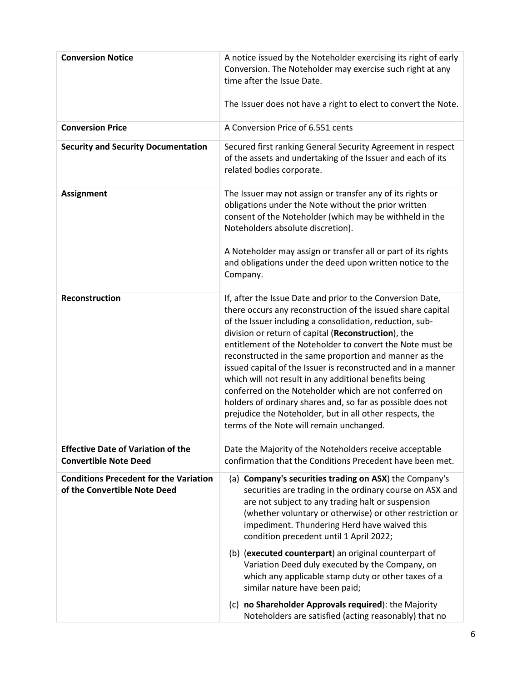| <b>Conversion Notice</b>                                                      | A notice issued by the Noteholder exercising its right of early<br>Conversion. The Noteholder may exercise such right at any<br>time after the Issue Date.<br>The Issuer does not have a right to elect to convert the Note.                                                                                                                                                                                                                                                                                                                                                                                                                                                                                                    |
|-------------------------------------------------------------------------------|---------------------------------------------------------------------------------------------------------------------------------------------------------------------------------------------------------------------------------------------------------------------------------------------------------------------------------------------------------------------------------------------------------------------------------------------------------------------------------------------------------------------------------------------------------------------------------------------------------------------------------------------------------------------------------------------------------------------------------|
| <b>Conversion Price</b>                                                       | A Conversion Price of 6.551 cents                                                                                                                                                                                                                                                                                                                                                                                                                                                                                                                                                                                                                                                                                               |
| <b>Security and Security Documentation</b>                                    | Secured first ranking General Security Agreement in respect<br>of the assets and undertaking of the Issuer and each of its<br>related bodies corporate.                                                                                                                                                                                                                                                                                                                                                                                                                                                                                                                                                                         |
| <b>Assignment</b>                                                             | The Issuer may not assign or transfer any of its rights or<br>obligations under the Note without the prior written<br>consent of the Noteholder (which may be withheld in the<br>Noteholders absolute discretion).                                                                                                                                                                                                                                                                                                                                                                                                                                                                                                              |
|                                                                               | A Noteholder may assign or transfer all or part of its rights<br>and obligations under the deed upon written notice to the<br>Company.                                                                                                                                                                                                                                                                                                                                                                                                                                                                                                                                                                                          |
| <b>Reconstruction</b>                                                         | If, after the Issue Date and prior to the Conversion Date,<br>there occurs any reconstruction of the issued share capital<br>of the Issuer including a consolidation, reduction, sub-<br>division or return of capital (Reconstruction), the<br>entitlement of the Noteholder to convert the Note must be<br>reconstructed in the same proportion and manner as the<br>issued capital of the Issuer is reconstructed and in a manner<br>which will not result in any additional benefits being<br>conferred on the Noteholder which are not conferred on<br>holders of ordinary shares and, so far as possible does not<br>prejudice the Noteholder, but in all other respects, the<br>terms of the Note will remain unchanged. |
| <b>Effective Date of Variation of the</b><br><b>Convertible Note Deed</b>     | Date the Majority of the Noteholders receive acceptable<br>confirmation that the Conditions Precedent have been met.                                                                                                                                                                                                                                                                                                                                                                                                                                                                                                                                                                                                            |
| <b>Conditions Precedent for the Variation</b><br>of the Convertible Note Deed | (a) Company's securities trading on ASX) the Company's<br>securities are trading in the ordinary course on ASX and<br>are not subject to any trading halt or suspension<br>(whether voluntary or otherwise) or other restriction or<br>impediment. Thundering Herd have waived this<br>condition precedent until 1 April 2022;<br>(b) (executed counterpart) an original counterpart of<br>Variation Deed duly executed by the Company, on<br>which any applicable stamp duty or other taxes of a<br>similar nature have been paid;<br>(c) no Shareholder Approvals required): the Majority<br>Noteholders are satisfied (acting reasonably) that no                                                                            |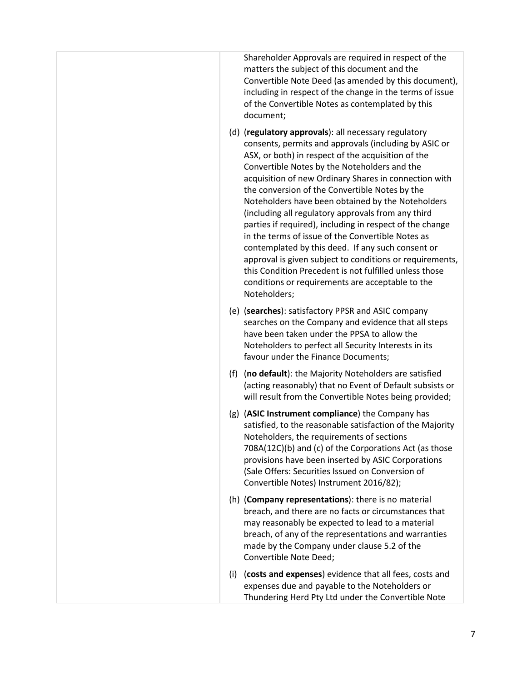Shareholder Approvals are required in respect of the matters the subject of this document and the Convertible Note Deed (as amended by this document), including in respect of the change in the terms of issue of the Convertible Notes as contemplated by this document;

- (d) (**regulatory approvals**): all necessary regulatory consents, permits and approvals (including by ASIC or ASX, or both) in respect of the acquisition of the Convertible Notes by the Noteholders and the acquisition of new Ordinary Shares in connection with the conversion of the Convertible Notes by the Noteholders have been obtained by the Noteholders (including all regulatory approvals from any third parties if required), including in respect of the change in the terms of issue of the Convertible Notes as contemplated by this deed. If any such consent or approval is given subject to conditions or requirements, this Condition Precedent is not fulfilled unless those conditions or requirements are acceptable to the Noteholders;
- (e) (**searches**): satisfactory PPSR and ASIC company searches on the Company and evidence that all steps have been taken under the PPSA to allow the Noteholders to perfect all Security Interests in its favour under the Finance Documents;
- (f) (**no default**): the Majority Noteholders are satisfied (acting reasonably) that no Event of Default subsists or will result from the Convertible Notes being provided;
- (g) (**ASIC Instrument compliance**) the Company has satisfied, to the reasonable satisfaction of the Majority Noteholders, the requirements of sections 708A(12C)(b) and (c) of the Corporations Act (as those provisions have been inserted by ASIC Corporations (Sale Offers: Securities Issued on Conversion of Convertible Notes) Instrument 2016/82);
- (h) (**Company representations**): there is no material breach, and there are no facts or circumstances that may reasonably be expected to lead to a material breach, of any of the representations and warranties made by the Company under clause 5.2 of the Convertible Note Deed;
- (i) (**costs and expenses**) evidence that all fees, costs and expenses due and payable to the Noteholders or Thundering Herd Pty Ltd under the Convertible Note